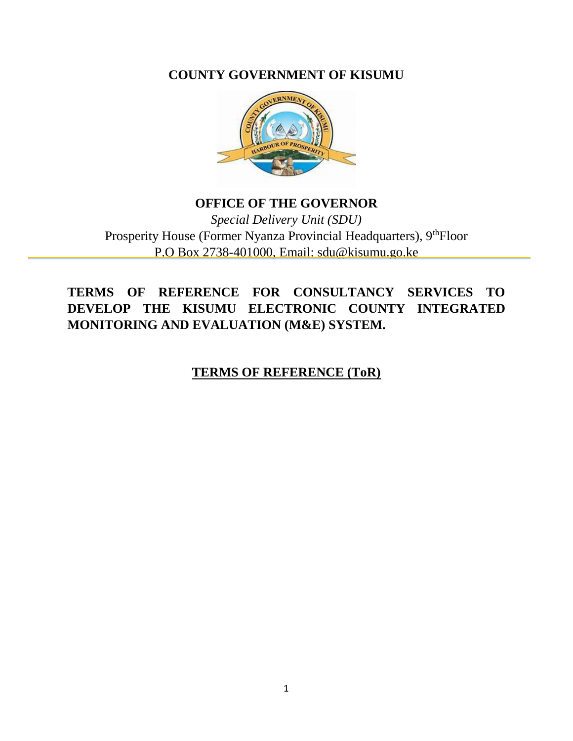**COUNTY GOVERNMENT OF KISUMU**



### **OFFICE OF THE GOVERNOR** *Special Delivery Unit (SDU)*  Prosperity House (Former Nyanza Provincial Headquarters), 9<sup>th</sup>Floor P.O Box 2738-401000, Email: sdu@kisumu.go.ke

**TERMS OF REFERENCE FOR CONSULTANCY SERVICES TO DEVELOP THE KISUMU ELECTRONIC COUNTY INTEGRATED MONITORING AND EVALUATION (M&E) SYSTEM.** 

**TERMS OF REFERENCE (ToR)**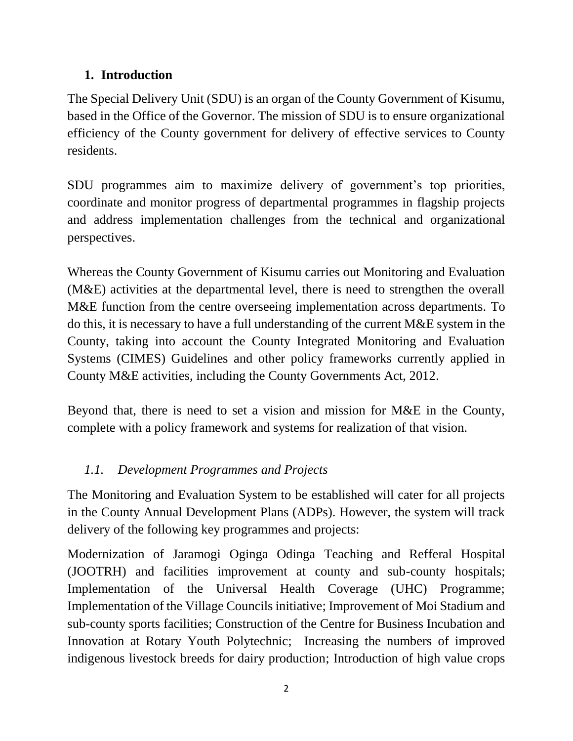# **1. Introduction**

The Special Delivery Unit (SDU) is an organ of the County Government of Kisumu, based in the Office of the Governor. The mission of SDU is to ensure organizational efficiency of the County government for delivery of effective services to County residents.

SDU programmes aim to maximize delivery of government's top priorities, coordinate and monitor progress of departmental programmes in flagship projects and address implementation challenges from the technical and organizational perspectives.

Whereas the County Government of Kisumu carries out Monitoring and Evaluation (M&E) activities at the departmental level, there is need to strengthen the overall M&E function from the centre overseeing implementation across departments. To do this, it is necessary to have a full understanding of the current M&E system in the County, taking into account the County Integrated Monitoring and Evaluation Systems (CIMES) Guidelines and other policy frameworks currently applied in County M&E activities, including the County Governments Act, 2012.

Beyond that, there is need to set a vision and mission for M&E in the County, complete with a policy framework and systems for realization of that vision.

# *1.1. Development Programmes and Projects*

The Monitoring and Evaluation System to be established will cater for all projects in the County Annual Development Plans (ADPs). However, the system will track delivery of the following key programmes and projects:

Modernization of Jaramogi Oginga Odinga Teaching and Refferal Hospital (JOOTRH) and facilities improvement at county and sub-county hospitals; Implementation of the Universal Health Coverage (UHC) Programme; Implementation of the Village Councils initiative; Improvement of Moi Stadium and sub-county sports facilities; Construction of the Centre for Business Incubation and Innovation at Rotary Youth Polytechnic; Increasing the numbers of improved indigenous livestock breeds for dairy production; Introduction of high value crops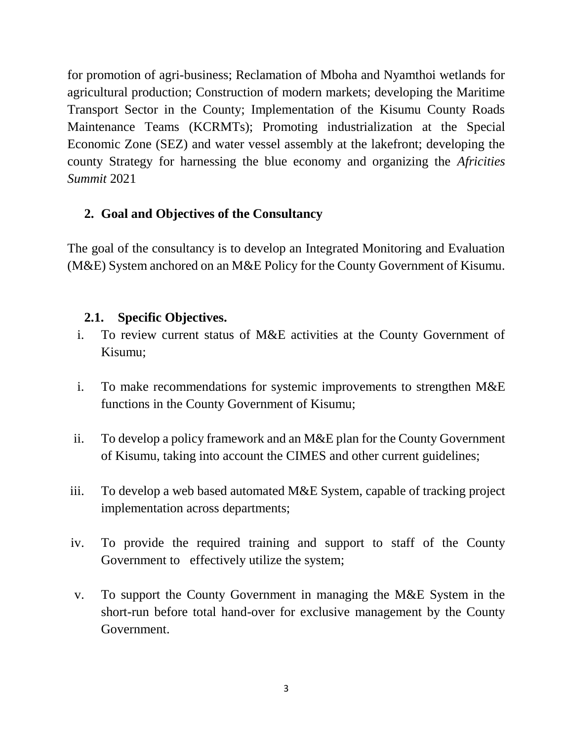for promotion of agri-business; Reclamation of Mboha and Nyamthoi wetlands for agricultural production; Construction of modern markets; developing the Maritime Transport Sector in the County; Implementation of the Kisumu County Roads Maintenance Teams (KCRMTs); Promoting industrialization at the Special Economic Zone (SEZ) and water vessel assembly at the lakefront; developing the county Strategy for harnessing the blue economy and organizing the *Africities Summit* 2021

### **2. Goal and Objectives of the Consultancy**

The goal of the consultancy is to develop an Integrated Monitoring and Evaluation (M&E) System anchored on an M&E Policy for the County Government of Kisumu.

### **2.1. Specific Objectives.**

- i. To review current status of M&E activities at the County Government of Kisumu;
- i. To make recommendations for systemic improvements to strengthen M&E functions in the County Government of Kisumu;
- ii. To develop a policy framework and an M&E plan for the County Government of Kisumu, taking into account the CIMES and other current guidelines;
- iii. To develop a web based automated M&E System, capable of tracking project implementation across departments;
- iv. To provide the required training and support to staff of the County Government to effectively utilize the system;
- v. To support the County Government in managing the M&E System in the short-run before total hand-over for exclusive management by the County Government.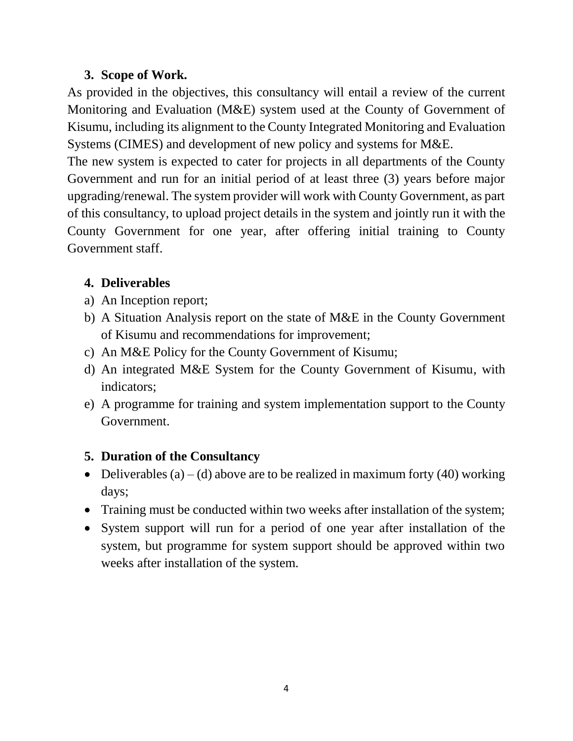#### **3. Scope of Work.**

As provided in the objectives, this consultancy will entail a review of the current Monitoring and Evaluation (M&E) system used at the County of Government of Kisumu, including its alignment to the County Integrated Monitoring and Evaluation Systems (CIMES) and development of new policy and systems for M&E.

The new system is expected to cater for projects in all departments of the County Government and run for an initial period of at least three (3) years before major upgrading/renewal. The system provider will work with County Government, as part of this consultancy, to upload project details in the system and jointly run it with the County Government for one year, after offering initial training to County Government staff.

# **4. Deliverables**

- a) An Inception report;
- b) A Situation Analysis report on the state of M&E in the County Government of Kisumu and recommendations for improvement;
- c) An M&E Policy for the County Government of Kisumu;
- d) An integrated M&E System for the County Government of Kisumu, with indicators;
- e) A programme for training and system implementation support to the County Government.

# **5. Duration of the Consultancy**

- Deliverables (a) (d) above are to be realized in maximum forty (40) working days;
- Training must be conducted within two weeks after installation of the system;
- System support will run for a period of one year after installation of the system, but programme for system support should be approved within two weeks after installation of the system.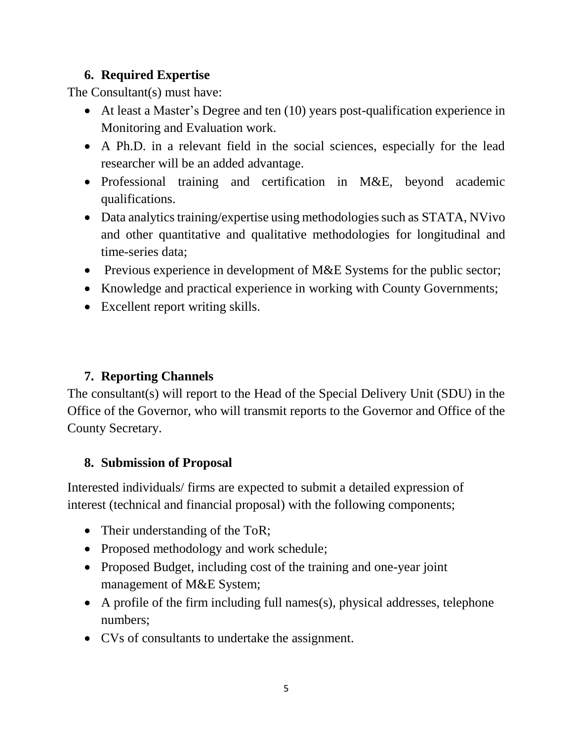### **6. Required Expertise**

The Consultant(s) must have:

- At least a Master's Degree and ten (10) years post-qualification experience in Monitoring and Evaluation work.
- A Ph.D. in a relevant field in the social sciences, especially for the lead researcher will be an added advantage.
- Professional training and certification in M&E, beyond academic qualifications.
- Data analytics training/expertise using methodologies such as STATA, NVivo and other quantitative and qualitative methodologies for longitudinal and time-series data;
- Previous experience in development of M&E Systems for the public sector;
- Knowledge and practical experience in working with County Governments;
- Excellent report writing skills.

# **7. Reporting Channels**

The consultant(s) will report to the Head of the Special Delivery Unit (SDU) in the Office of the Governor, who will transmit reports to the Governor and Office of the County Secretary.

# **8. Submission of Proposal**

Interested individuals/ firms are expected to submit a detailed expression of interest (technical and financial proposal) with the following components;

- Their understanding of the ToR;
- Proposed methodology and work schedule;
- Proposed Budget, including cost of the training and one-year joint management of M&E System;
- A profile of the firm including full names(s), physical addresses, telephone numbers;
- CVs of consultants to undertake the assignment.